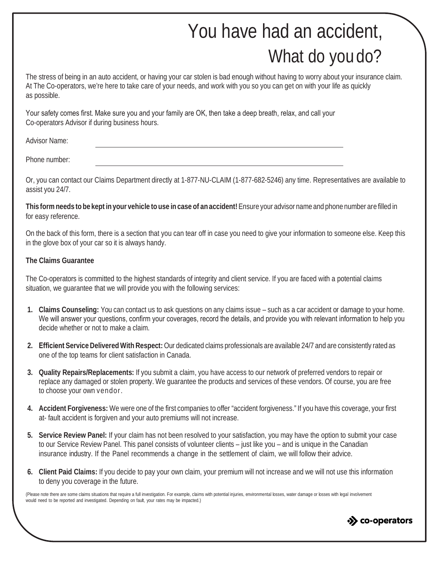## You have had an accident, What do you do?

The stress of being in an auto accident, or having your car stolen is bad enough without having to worry about your insurance claim. At The Co-operators, we're here to take care of your needs, and work with you so you can get on with your life as quickly as possible.

Your safety comes first. Make sure you and your family are OK, then take a deep breath, relax, and call your Co-operators Advisor if during business hours.

Advisor Name:

Phone number:

Or, you can contact our Claims Department directly at 1-877-NU-CLAIM (1-877-682-5246) any time. Representatives are available to assist you 24/7.

This form needs to be kept in your vehicle to use in case of an accident! Ensure your advisor name and phone number are filled in for easy reference.

On the back of this form, there is a section that you can tear off in case you need to give your information to someone else. Keep this in the glove box of your car so it is always handy.

## **The Claims Guarantee**

The Co-operators is committed to the highest standards of integrity and client service. If you are faced with a potential claims situation, we guarantee that we will provide you with the following services:

- **1. Claims Counseling:** You can contact us to ask questions on any claims issue such as a car accident or damage to your home. We will answer your questions, confirm your coverages, record the details, and provide you with relevant information to help you decide whether or not to make a claim.
- **2. Efficient Service DeliveredWith Respect:** Our dedicated claims professionals are available 24/7 and are consistently rated as one of the top teams for client satisfaction in Canada.
- **3. Quality Repairs/Replacements:** If you submit a claim, you have access to our network of preferred vendors to repair or replace any damaged or stolen property. We guarantee the products and services of these vendors. Of course, you are free to choose your own vendor.
- **4. Accident Forgiveness:** We were one of the first companies to offer "accident forgiveness." If you have this coverage, your first at- fault accident is forgiven and your auto premiums will not increase.
- **5. Service Review Panel:** If your claim has not been resolved to your satisfaction, you may have the option to submit your case to our Service Review Panel. This panel consists of volunteer clients – just like you – and is unique in the Canadian insurance industry. If the Panel recommends a change in the settlement of claim, we will follow their advice.
- **6. Client Paid Claims:** If you decide to pay your own claim, your premium will not increase and we will not use this information to deny you coverage in the future.

(Please note there are some claims situations that require a full investigation. For example, claims with potential injuries, environmental losses, water damage or losses with legal involvement would need to be reported and investigated. Depending on fault, your rates may be impacted.)